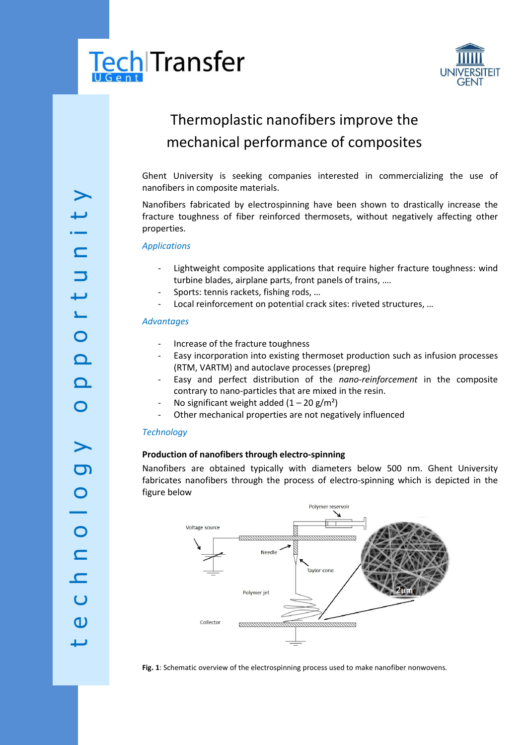



# Thermoplastic nanofibers improve the mechanical performance of composites

Ghent University is seeking companies interested in commercializing the use of nanofibers in composite materials.

Nanofibers fabricated by electrospinning have been shown to drastically increase the fracture toughness of fiber reinforced thermosets, without negatively affecting other properties.

*Applications*

- Lightweight composite applications that require higher fracture toughness: wind turbine blades, airplane parts, front panels of trains, ….
- Sports: tennis rackets, fishing rods, ...
- Local reinforcement on potential crack sites: riveted structures, ...

#### *Advantages*

- Increase of the fracture toughness
- Easy incorporation into existing thermoset production such as infusion processes (RTM, VARTM) and autoclave processes (prepreg)
- Easy and perfect distribution of the nano-reinforcement in the composite contrary to nano -particles that are mixed in the resin.
- No significant weight added  $(1 20 \text{ g/m}^2)$
- Other mechanical properties are not negatively influenced

### *Technology*

## **Production of nanofibers through electro -spinning**

Nanofibers are obtained typically with diameters below 500 nm. Ghent University fabricates nanofibers through the process of electro -spinning which is depicted in the figure below



**Fig. 1**: Schematic overview of the electrospinning process used to make nanofiber nonwovens.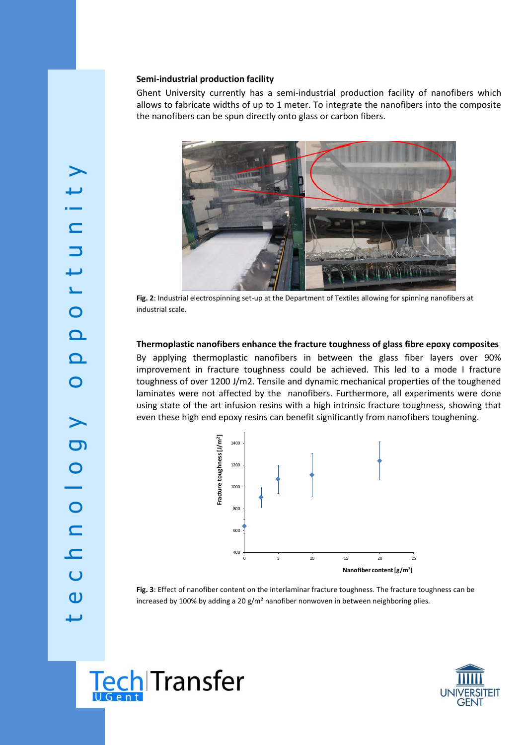#### **Semi -industrial production facility**

Ghent University currently has a semi-industrial production facility of nanofibers which allows to fabricate widths of up to 1 meter. To integrate the nanofibers into the composite the nanofibers can be spun directly onto glass or carbon fibers.



Fig. 2: Industrial electrospinning set-up at the Department of Textiles allowing for spinning nanofibers at industrial scale.

#### **Thermoplastic nanofibers enhance the fracture toughness of glass fibre epoxy composites**

By applying thermoplastic nanofibers in between the glass fiber layers over 90% improvement in fracture toughness could be achieved. This led to a mode I fracture toughness of over 1200 J/m2. Tensile and dynamic mechanical properties of the toughened laminates were not affected by the nanofibers. Furthermore, all experiments were done using state of the art infusion resins with a high intrinsic fracture toughness, showing that even these high end epoxy resins can benefit significantly from nanofibers toughening.



**Fig. 3**: Effect of nanofiber content on the interlaminar fracture toughness. The fracture toughness can be increased by 100% by adding a 20  $g/m^2$  nanofiber nonwoven in between neighboring plies.